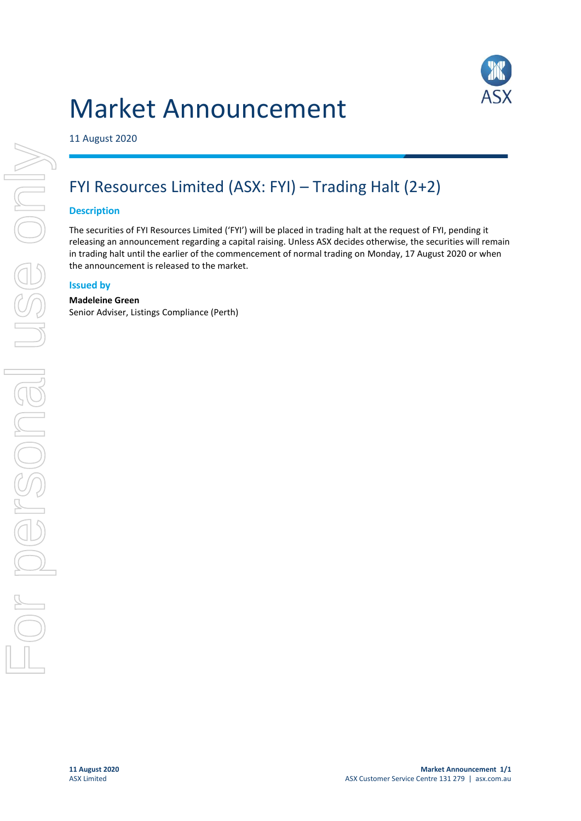# Market Announcement



11 August 2020

## FYI Resources Limited (ASX: FYI) – Trading Halt (2+2)

#### **Description**

The securities of FYI Resources Limited ('FYI') will be placed in trading halt at the request of FYI, pending it releasing an announcement regarding a capital raising. Unless ASX decides otherwise, the securities will remain in trading halt until the earlier of the commencement of normal trading on Monday, 17 August 2020 or when the announcement is released to the market.

#### **Issued by**

#### **Madeleine Green**

Senior Adviser, Listings Compliance (Perth)